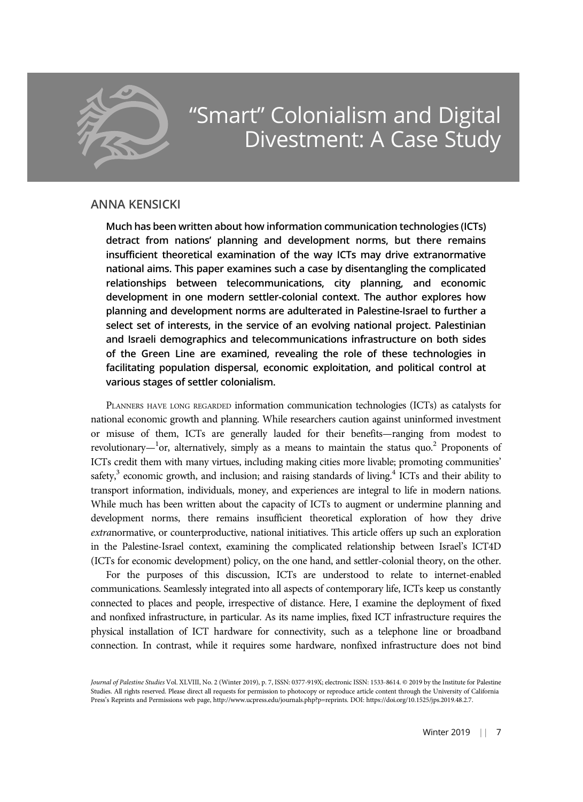

# ANNA KENSICKI

Much has been written about how information communication technologies (ICTs) detract from nations' planning and development norms, but there remains insufficient theoretical examination of the way ICTs may drive extranormative national aims. This paper examines such a case by disentangling the complicated relationships between telecommunications, city planning, and economic development in one modern settler-colonial context. The author explores how planning and development norms are adulterated in Palestine-Israel to further a select set of interests, in the service of an evolving national project. Palestinian and Israeli demographics and telecommunications infrastructure on both sides of the Green Line are examined, revealing the role of these technologies in facilitating population dispersal, economic exploitation, and political control at various stages of settler colonialism.

PLANNERS HAVE LONG REGARDED information communication technologies (ICTs) as catalysts for national economic growth and planning. While researchers caution against uninformed investment or misuse of them, ICTs are generally lauded for their benefits—ranging from modest to revolutionary— $^{1}$ or, alternatively, simply as a means to maintain the status quo.<sup>2</sup> Proponents of ICTs credit them with many virtues, including making cities more livable; promoting communities' safety, $3$  economic growth, and inclusion; and raising standards of living. $4$  ICTs and their ability to transport information, individuals, money, and experiences are integral to life in modern nations. While much has been written about the capacity of ICTs to augment or undermine planning and development norms, there remains insufficient theoretical exploration of how they drive extranormative, or counterproductive, national initiatives. This article offers up such an exploration in the Palestine-Israel context, examining the complicated relationship between Israel's ICT4D (ICTs for economic development) policy, on the one hand, and settler-colonial theory, on the other.

For the purposes of this discussion, ICTs are understood to relate to internet-enabled communications. Seamlessly integrated into all aspects of contemporary life, ICTs keep us constantly connected to places and people, irrespective of distance. Here, I examine the deployment of fixed and nonfixed infrastructure, in particular. As its name implies, fixed ICT infrastructure requires the physical installation of ICT hardware for connectivity, such as a telephone line or broadband connection. In contrast, while it requires some hardware, nonfixed infrastructure does not bind

Journal of Palestine Studies Vol. XLVIII, No. 2 (Winter 2019), p. 7, ISSN: 0377-919X; electronic ISSN: 1533-8614. © 2019 by the Institute for Palestine Studies. All rights reserved. Please direct all requests for permission to photocopy or reproduce article content through the University of California Press's Reprints and Permissions web page, http://www.ucpress.edu/journals.php?p=reprints. DOI: https://doi.org/10.1525/jps.2019.48.2.7.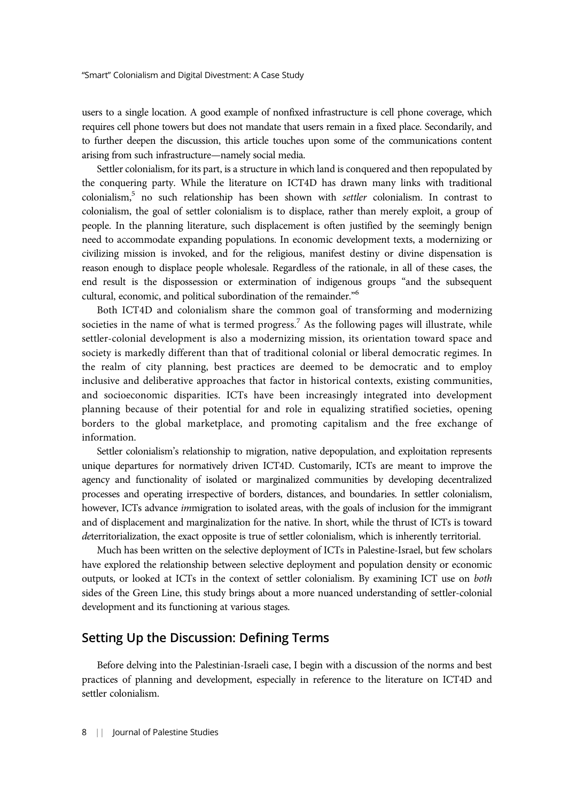users to a single location. A good example of nonfixed infrastructure is cell phone coverage, which requires cell phone towers but does not mandate that users remain in a fixed place. Secondarily, and to further deepen the discussion, this article touches upon some of the communications content arising from such infrastructure—namely social media.

Settler colonialism, for its part, is a structure in which land is conquered and then repopulated by the conquering party. While the literature on ICT4D has drawn many links with traditional colonialism,5 no such relationship has been shown with settler colonialism. In contrast to colonialism, the goal of settler colonialism is to displace, rather than merely exploit, a group of people. In the planning literature, such displacement is often justified by the seemingly benign need to accommodate expanding populations. In economic development texts, a modernizing or civilizing mission is invoked, and for the religious, manifest destiny or divine dispensation is reason enough to displace people wholesale. Regardless of the rationale, in all of these cases, the end result is the dispossession or extermination of indigenous groups "and the subsequent cultural, economic, and political subordination of the remainder."<sup>6</sup>

Both ICT4D and colonialism share the common goal of transforming and modernizing societies in the name of what is termed progress.<sup>7</sup> As the following pages will illustrate, while settler-colonial development is also a modernizing mission, its orientation toward space and society is markedly different than that of traditional colonial or liberal democratic regimes. In the realm of city planning, best practices are deemed to be democratic and to employ inclusive and deliberative approaches that factor in historical contexts, existing communities, and socioeconomic disparities. ICTs have been increasingly integrated into development planning because of their potential for and role in equalizing stratified societies, opening borders to the global marketplace, and promoting capitalism and the free exchange of information.

Settler colonialism's relationship to migration, native depopulation, and exploitation represents unique departures for normatively driven ICT4D. Customarily, ICTs are meant to improve the agency and functionality of isolated or marginalized communities by developing decentralized processes and operating irrespective of borders, distances, and boundaries. In settler colonialism, however, ICTs advance *immigration* to isolated areas, with the goals of inclusion for the immigrant and of displacement and marginalization for the native. In short, while the thrust of ICTs is toward deterritorialization, the exact opposite is true of settler colonialism, which is inherently territorial.

Much has been written on the selective deployment of ICTs in Palestine-Israel, but few scholars have explored the relationship between selective deployment and population density or economic outputs, or looked at ICTs in the context of settler colonialism. By examining ICT use on both sides of the Green Line, this study brings about a more nuanced understanding of settler-colonial development and its functioning at various stages.

#### Setting Up the Discussion: Defining Terms

Before delving into the Palestinian-Israeli case, I begin with a discussion of the norms and best practices of planning and development, especially in reference to the literature on ICT4D and settler colonialism.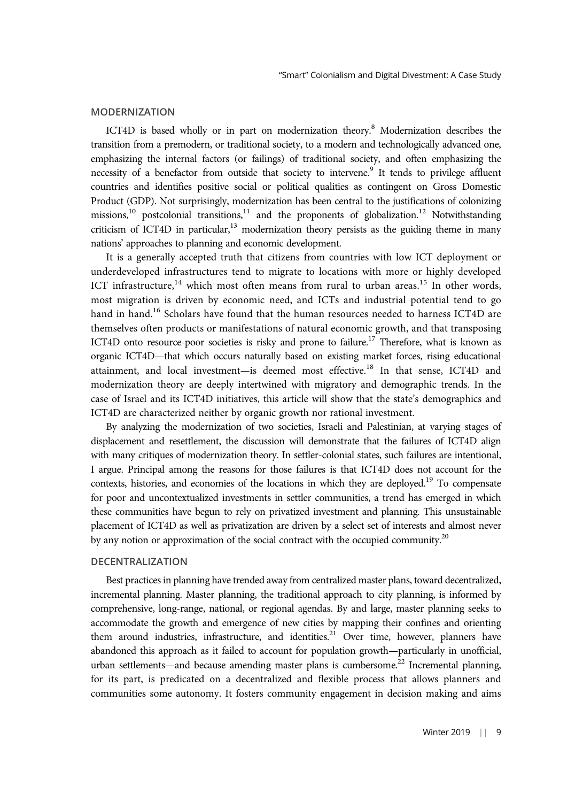#### MODERNIZATION

ICT4D is based wholly or in part on modernization theory.8 Modernization describes the transition from a premodern, or traditional society, to a modern and technologically advanced one, emphasizing the internal factors (or failings) of traditional society, and often emphasizing the necessity of a benefactor from outside that society to intervene.<sup>9</sup> It tends to privilege affluent countries and identifies positive social or political qualities as contingent on Gross Domestic Product (GDP). Not surprisingly, modernization has been central to the justifications of colonizing missions,<sup>10</sup> postcolonial transitions,<sup>11</sup> and the proponents of globalization.<sup>12</sup> Notwithstanding criticism of ICT4D in particular,<sup>13</sup> modernization theory persists as the guiding theme in many nations' approaches to planning and economic development.

It is a generally accepted truth that citizens from countries with low ICT deployment or underdeveloped infrastructures tend to migrate to locations with more or highly developed ICT infrastructure,<sup>14</sup> which most often means from rural to urban areas.<sup>15</sup> In other words, most migration is driven by economic need, and ICTs and industrial potential tend to go hand in hand.<sup>16</sup> Scholars have found that the human resources needed to harness ICT4D are themselves often products or manifestations of natural economic growth, and that transposing ICT4D onto resource-poor societies is risky and prone to failure.<sup>17</sup> Therefore, what is known as organic ICT4D—that which occurs naturally based on existing market forces, rising educational attainment, and local investment-is deemed most effective.<sup>18</sup> In that sense, ICT4D and modernization theory are deeply intertwined with migratory and demographic trends. In the case of Israel and its ICT4D initiatives, this article will show that the state's demographics and ICT4D are characterized neither by organic growth nor rational investment.

By analyzing the modernization of two societies, Israeli and Palestinian, at varying stages of displacement and resettlement, the discussion will demonstrate that the failures of ICT4D align with many critiques of modernization theory. In settler-colonial states, such failures are intentional, I argue. Principal among the reasons for those failures is that ICT4D does not account for the contexts, histories, and economies of the locations in which they are deployed.<sup>19</sup> To compensate for poor and uncontextualized investments in settler communities, a trend has emerged in which these communities have begun to rely on privatized investment and planning. This unsustainable placement of ICT4D as well as privatization are driven by a select set of interests and almost never by any notion or approximation of the social contract with the occupied community.<sup>20</sup>

#### DECENTRALIZATION

Best practices in planning have trended away from centralized master plans, toward decentralized, incremental planning. Master planning, the traditional approach to city planning, is informed by comprehensive, long-range, national, or regional agendas. By and large, master planning seeks to accommodate the growth and emergence of new cities by mapping their confines and orienting them around industries, infrastructure, and identities.<sup>21</sup> Over time, however, planners have abandoned this approach as it failed to account for population growth—particularly in unofficial, urban settlements—and because amending master plans is cumbersome.<sup>22</sup> Incremental planning, for its part, is predicated on a decentralized and flexible process that allows planners and communities some autonomy. It fosters community engagement in decision making and aims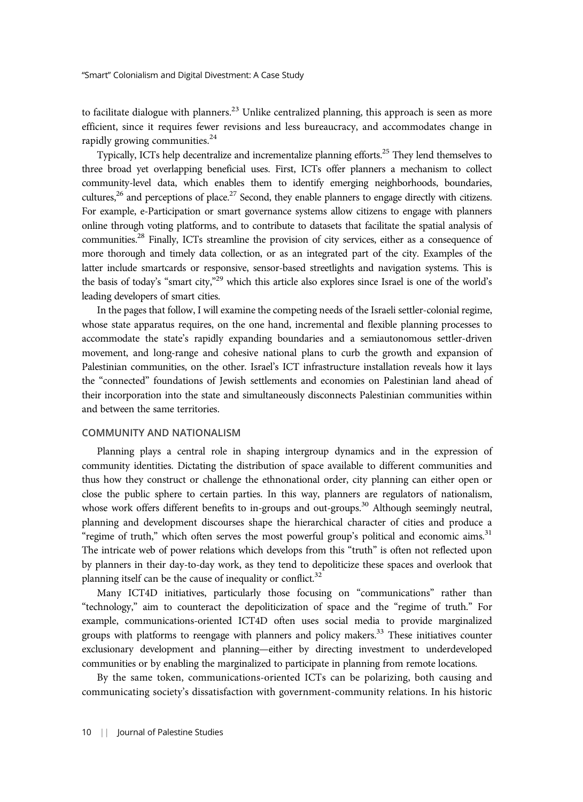to facilitate dialogue with planners.<sup>23</sup> Unlike centralized planning, this approach is seen as more efficient, since it requires fewer revisions and less bureaucracy, and accommodates change in rapidly growing communities. $^{24}$ 

Typically, ICTs help decentralize and incrementalize planning efforts.<sup>25</sup> They lend themselves to three broad yet overlapping beneficial uses. First, ICTs offer planners a mechanism to collect community-level data, which enables them to identify emerging neighborhoods, boundaries, cultures,<sup>26</sup> and perceptions of place.<sup>27</sup> Second, they enable planners to engage directly with citizens. For example, e-Participation or smart governance systems allow citizens to engage with planners online through voting platforms, and to contribute to datasets that facilitate the spatial analysis of communities.<sup>28</sup> Finally, ICTs streamline the provision of city services, either as a consequence of more thorough and timely data collection, or as an integrated part of the city. Examples of the latter include smartcards or responsive, sensor-based streetlights and navigation systems. This is the basis of today's "smart city,"<sup>29</sup> which this article also explores since Israel is one of the world's leading developers of smart cities.

In the pages that follow, I will examine the competing needs of the Israeli settler-colonial regime, whose state apparatus requires, on the one hand, incremental and flexible planning processes to accommodate the state's rapidly expanding boundaries and a semiautonomous settler-driven movement, and long-range and cohesive national plans to curb the growth and expansion of Palestinian communities, on the other. Israel's ICT infrastructure installation reveals how it lays the "connected" foundations of Jewish settlements and economies on Palestinian land ahead of their incorporation into the state and simultaneously disconnects Palestinian communities within and between the same territories.

#### COMMUNITY AND NATIONALISM

Planning plays a central role in shaping intergroup dynamics and in the expression of community identities. Dictating the distribution of space available to different communities and thus how they construct or challenge the ethnonational order, city planning can either open or close the public sphere to certain parties. In this way, planners are regulators of nationalism, whose work offers different benefits to in-groups and out-groups.<sup>30</sup> Although seemingly neutral, planning and development discourses shape the hierarchical character of cities and produce a "regime of truth," which often serves the most powerful group's political and economic aims.<sup>31</sup> The intricate web of power relations which develops from this "truth" is often not reflected upon by planners in their day-to-day work, as they tend to depoliticize these spaces and overlook that planning itself can be the cause of inequality or conflict. $32$ 

Many ICT4D initiatives, particularly those focusing on "communications" rather than "technology," aim to counteract the depoliticization of space and the "regime of truth." For example, communications-oriented ICT4D often uses social media to provide marginalized groups with platforms to reengage with planners and policy makers.<sup>33</sup> These initiatives counter exclusionary development and planning—either by directing investment to underdeveloped communities or by enabling the marginalized to participate in planning from remote locations.

By the same token, communications-oriented ICTs can be polarizing, both causing and communicating society's dissatisfaction with government-community relations. In his historic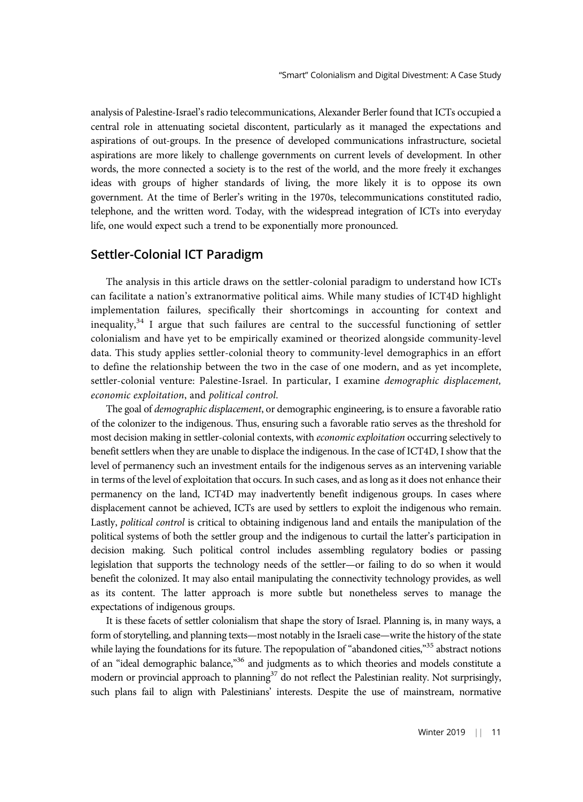analysis of Palestine-Israel's radio telecommunications, Alexander Berler found that ICTs occupied a central role in attenuating societal discontent, particularly as it managed the expectations and aspirations of out-groups. In the presence of developed communications infrastructure, societal aspirations are more likely to challenge governments on current levels of development. In other words, the more connected a society is to the rest of the world, and the more freely it exchanges ideas with groups of higher standards of living, the more likely it is to oppose its own government. At the time of Berler's writing in the 1970s, telecommunications constituted radio, telephone, and the written word. Today, with the widespread integration of ICTs into everyday life, one would expect such a trend to be exponentially more pronounced.

## Settler-Colonial ICT Paradigm

The analysis in this article draws on the settler-colonial paradigm to understand how ICTs can facilitate a nation's extranormative political aims. While many studies of ICT4D highlight implementation failures, specifically their shortcomings in accounting for context and inequality,<sup>34</sup> I argue that such failures are central to the successful functioning of settler colonialism and have yet to be empirically examined or theorized alongside community-level data. This study applies settler-colonial theory to community-level demographics in an effort to define the relationship between the two in the case of one modern, and as yet incomplete, settler-colonial venture: Palestine-Israel. In particular, I examine *demographic displacement*, economic exploitation, and political control.

The goal of demographic displacement, or demographic engineering, is to ensure a favorable ratio of the colonizer to the indigenous. Thus, ensuring such a favorable ratio serves as the threshold for most decision making in settler-colonial contexts, with *economic exploitation* occurring selectively to benefit settlers when they are unable to displace the indigenous. In the case of ICT4D, I show that the level of permanency such an investment entails for the indigenous serves as an intervening variable in terms of the level of exploitation that occurs. In such cases, and as long as it does not enhance their permanency on the land, ICT4D may inadvertently benefit indigenous groups. In cases where displacement cannot be achieved, ICTs are used by settlers to exploit the indigenous who remain. Lastly, political control is critical to obtaining indigenous land and entails the manipulation of the political systems of both the settler group and the indigenous to curtail the latter's participation in decision making. Such political control includes assembling regulatory bodies or passing legislation that supports the technology needs of the settler—or failing to do so when it would benefit the colonized. It may also entail manipulating the connectivity technology provides, as well as its content. The latter approach is more subtle but nonetheless serves to manage the expectations of indigenous groups.

It is these facets of settler colonialism that shape the story of Israel. Planning is, in many ways, a form of storytelling, and planning texts—most notably in the Israeli case—write the history of the state while laying the foundations for its future. The repopulation of "abandoned cities,"<sup>35</sup> abstract notions of an "ideal demographic balance,"<sup>36</sup> and judgments as to which theories and models constitute a modern or provincial approach to planning<sup>37</sup> do not reflect the Palestinian reality. Not surprisingly, such plans fail to align with Palestinians' interests. Despite the use of mainstream, normative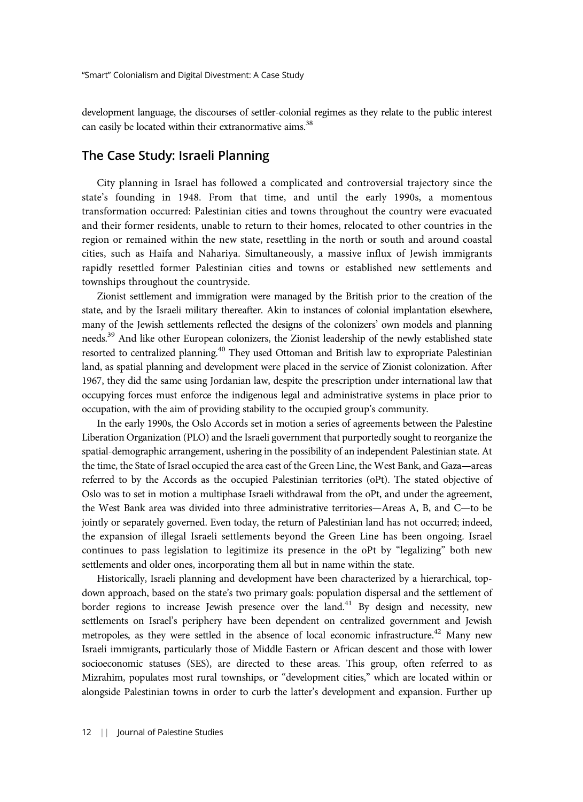development language, the discourses of settler-colonial regimes as they relate to the public interest can easily be located within their extranormative aims.<sup>38</sup>

# The Case Study: Israeli Planning

City planning in Israel has followed a complicated and controversial trajectory since the state's founding in 1948. From that time, and until the early 1990s, a momentous transformation occurred: Palestinian cities and towns throughout the country were evacuated and their former residents, unable to return to their homes, relocated to other countries in the region or remained within the new state, resettling in the north or south and around coastal cities, such as Haifa and Nahariya. Simultaneously, a massive influx of Jewish immigrants rapidly resettled former Palestinian cities and towns or established new settlements and townships throughout the countryside.

Zionist settlement and immigration were managed by the British prior to the creation of the state, and by the Israeli military thereafter. Akin to instances of colonial implantation elsewhere, many of the Jewish settlements reflected the designs of the colonizers' own models and planning needs.39 And like other European colonizers, the Zionist leadership of the newly established state resorted to centralized planning.<sup>40</sup> They used Ottoman and British law to expropriate Palestinian land, as spatial planning and development were placed in the service of Zionist colonization. After 1967, they did the same using Jordanian law, despite the prescription under international law that occupying forces must enforce the indigenous legal and administrative systems in place prior to occupation, with the aim of providing stability to the occupied group's community.

In the early 1990s, the Oslo Accords set in motion a series of agreements between the Palestine Liberation Organization (PLO) and the Israeli government that purportedly sought to reorganize the spatial-demographic arrangement, ushering in the possibility of an independent Palestinian state. At the time, the State of Israel occupied the area east of the Green Line, the West Bank, and Gaza—areas referred to by the Accords as the occupied Palestinian territories (oPt). The stated objective of Oslo was to set in motion a multiphase Israeli withdrawal from the oPt, and under the agreement, the West Bank area was divided into three administrative territories—Areas A, B, and C—to be jointly or separately governed. Even today, the return of Palestinian land has not occurred; indeed, the expansion of illegal Israeli settlements beyond the Green Line has been ongoing. Israel continues to pass legislation to legitimize its presence in the oPt by "legalizing" both new settlements and older ones, incorporating them all but in name within the state.

Historically, Israeli planning and development have been characterized by a hierarchical, topdown approach, based on the state's two primary goals: population dispersal and the settlement of border regions to increase Jewish presence over the land.<sup>41</sup> By design and necessity, new settlements on Israel's periphery have been dependent on centralized government and Jewish metropoles, as they were settled in the absence of local economic infrastructure.<sup>42</sup> Many new Israeli immigrants, particularly those of Middle Eastern or African descent and those with lower socioeconomic statuses (SES), are directed to these areas. This group, often referred to as Mizrahim, populates most rural townships, or "development cities," which are located within or alongside Palestinian towns in order to curb the latter's development and expansion. Further up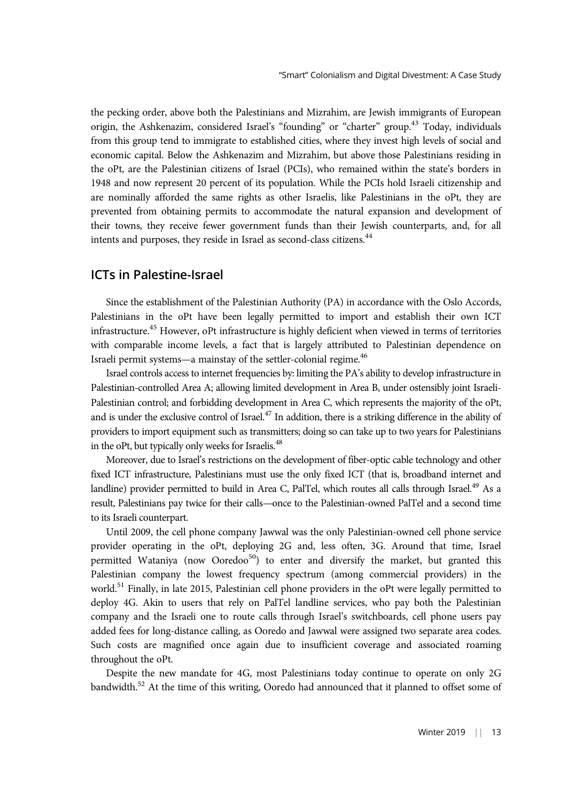the pecking order, above both the Palestinians and Mizrahim, are Jewish immigrants of European origin, the Ashkenazim, considered Israel's "founding" or "charter" group.<sup>43</sup> Today, individuals from this group tend to immigrate to established cities, where they invest high levels of social and economic capital. Below the Ashkenazim and Mizrahim, but above those Palestinians residing in the oPt, are the Palestinian citizens of Israel (PCIs), who remained within the state's borders in 1948 and now represent 20 percent of its population. While the PCIs hold Israeli citizenship and are nominally afforded the same rights as other Israelis, like Palestinians in the oPt, they are prevented from obtaining permits to accommodate the natural expansion and development of their towns, they receive fewer government funds than their Jewish counterparts, and, for all intents and purposes, they reside in Israel as second-class citizens.<sup>44</sup>

## ICTs in Palestine-Israel

Since the establishment of the Palestinian Authority (PA) in accordance with the Oslo Accords, Palestinians in the oPt have been legally permitted to import and establish their own ICT infrastructure.<sup>45</sup> However, oPt infrastructure is highly deficient when viewed in terms of territories with comparable income levels, a fact that is largely attributed to Palestinian dependence on Israeli permit systems—a mainstay of the settler-colonial regime.<sup>46</sup>

Israel controls access to internet frequencies by: limiting the PA's ability to develop infrastructure in Palestinian-controlled Area A; allowing limited development in Area B, under ostensibly joint Israeli-Palestinian control; and forbidding development in Area C, which represents the majority of the oPt, and is under the exclusive control of Israel. $^{47}$  In addition, there is a striking difference in the ability of providers to import equipment such as transmitters; doing so can take up to two years for Palestinians in the oPt, but typically only weeks for Israelis.<sup>48</sup>

Moreover, due to Israel's restrictions on the development of fiber-optic cable technology and other fixed ICT infrastructure, Palestinians must use the only fixed ICT (that is, broadband internet and landline) provider permitted to build in Area C, PalTel, which routes all calls through Israel.<sup>49</sup> As a result, Palestinians pay twice for their calls—once to the Palestinian-owned PalTel and a second time to its Israeli counterpart.

Until 2009, the cell phone company Jawwal was the only Palestinian-owned cell phone service provider operating in the oPt, deploying 2G and, less often, 3G. Around that time, Israel permitted Wataniya (now Ooredoo<sup>50</sup>) to enter and diversify the market, but granted this Palestinian company the lowest frequency spectrum (among commercial providers) in the world.<sup>51</sup> Finally, in late 2015, Palestinian cell phone providers in the oPt were legally permitted to deploy 4G. Akin to users that rely on PalTel landline services, who pay both the Palestinian company and the Israeli one to route calls through Israel's switchboards, cell phone users pay added fees for long-distance calling, as Ooredo and Jawwal were assigned two separate area codes. Such costs are magnified once again due to insufficient coverage and associated roaming throughout the oPt.

Despite the new mandate for 4G, most Palestinians today continue to operate on only 2G bandwidth.<sup>52</sup> At the time of this writing, Ooredo had announced that it planned to offset some of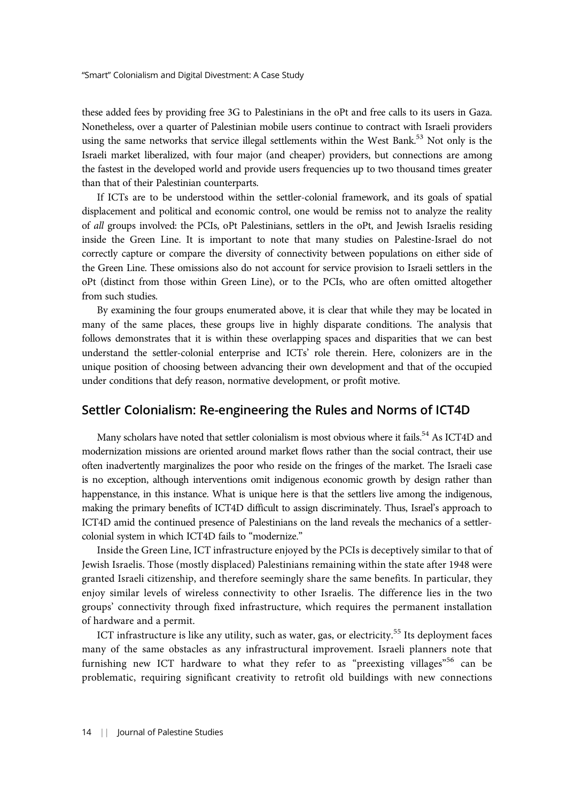these added fees by providing free 3G to Palestinians in the oPt and free calls to its users in Gaza. Nonetheless, over a quarter of Palestinian mobile users continue to contract with Israeli providers using the same networks that service illegal settlements within the West Bank.<sup>53</sup> Not only is the Israeli market liberalized, with four major (and cheaper) providers, but connections are among the fastest in the developed world and provide users frequencies up to two thousand times greater than that of their Palestinian counterparts.

If ICTs are to be understood within the settler-colonial framework, and its goals of spatial displacement and political and economic control, one would be remiss not to analyze the reality of all groups involved: the PCIs, oPt Palestinians, settlers in the oPt, and Jewish Israelis residing inside the Green Line. It is important to note that many studies on Palestine-Israel do not correctly capture or compare the diversity of connectivity between populations on either side of the Green Line. These omissions also do not account for service provision to Israeli settlers in the oPt (distinct from those within Green Line), or to the PCIs, who are often omitted altogether from such studies.

By examining the four groups enumerated above, it is clear that while they may be located in many of the same places, these groups live in highly disparate conditions. The analysis that follows demonstrates that it is within these overlapping spaces and disparities that we can best understand the settler-colonial enterprise and ICTs' role therein. Here, colonizers are in the unique position of choosing between advancing their own development and that of the occupied under conditions that defy reason, normative development, or profit motive.

## Settler Colonialism: Re-engineering the Rules and Norms of ICT4D

Many scholars have noted that settler colonialism is most obvious where it fails.<sup>54</sup> As ICT4D and modernization missions are oriented around market flows rather than the social contract, their use often inadvertently marginalizes the poor who reside on the fringes of the market. The Israeli case is no exception, although interventions omit indigenous economic growth by design rather than happenstance, in this instance. What is unique here is that the settlers live among the indigenous, making the primary benefits of ICT4D difficult to assign discriminately. Thus, Israel's approach to ICT4D amid the continued presence of Palestinians on the land reveals the mechanics of a settlercolonial system in which ICT4D fails to "modernize."

Inside the Green Line, ICT infrastructure enjoyed by the PCIs is deceptively similar to that of Jewish Israelis. Those (mostly displaced) Palestinians remaining within the state after 1948 were granted Israeli citizenship, and therefore seemingly share the same benefits. In particular, they enjoy similar levels of wireless connectivity to other Israelis. The difference lies in the two groups' connectivity through fixed infrastructure, which requires the permanent installation of hardware and a permit.

ICT infrastructure is like any utility, such as water, gas, or electricity.<sup>55</sup> Its deployment faces many of the same obstacles as any infrastructural improvement. Israeli planners note that furnishing new ICT hardware to what they refer to as "preexisting villages"<sup>56</sup> can be problematic, requiring significant creativity to retrofit old buildings with new connections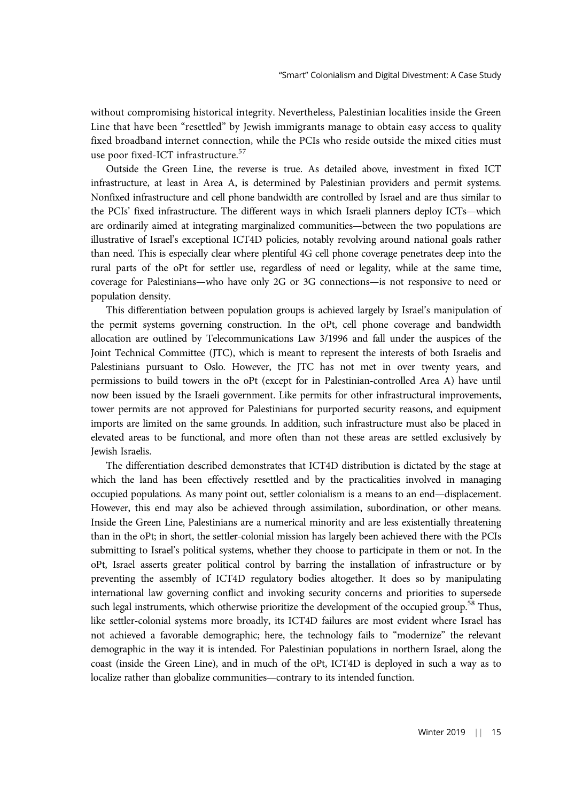without compromising historical integrity. Nevertheless, Palestinian localities inside the Green Line that have been "resettled" by Jewish immigrants manage to obtain easy access to quality fixed broadband internet connection, while the PCIs who reside outside the mixed cities must use poor fixed-ICT infrastructure.<sup>57</sup>

Outside the Green Line, the reverse is true. As detailed above, investment in fixed ICT infrastructure, at least in Area A, is determined by Palestinian providers and permit systems. Nonfixed infrastructure and cell phone bandwidth are controlled by Israel and are thus similar to the PCIs' fixed infrastructure. The different ways in which Israeli planners deploy ICTs—which are ordinarily aimed at integrating marginalized communities—between the two populations are illustrative of Israel's exceptional ICT4D policies, notably revolving around national goals rather than need. This is especially clear where plentiful 4G cell phone coverage penetrates deep into the rural parts of the oPt for settler use, regardless of need or legality, while at the same time, coverage for Palestinians—who have only 2G or 3G connections—is not responsive to need or population density.

This differentiation between population groups is achieved largely by Israel's manipulation of the permit systems governing construction. In the oPt, cell phone coverage and bandwidth allocation are outlined by Telecommunications Law 3/1996 and fall under the auspices of the Joint Technical Committee (JTC), which is meant to represent the interests of both Israelis and Palestinians pursuant to Oslo. However, the JTC has not met in over twenty years, and permissions to build towers in the oPt (except for in Palestinian-controlled Area A) have until now been issued by the Israeli government. Like permits for other infrastructural improvements, tower permits are not approved for Palestinians for purported security reasons, and equipment imports are limited on the same grounds. In addition, such infrastructure must also be placed in elevated areas to be functional, and more often than not these areas are settled exclusively by Jewish Israelis.

The differentiation described demonstrates that ICT4D distribution is dictated by the stage at which the land has been effectively resettled and by the practicalities involved in managing occupied populations. As many point out, settler colonialism is a means to an end—displacement. However, this end may also be achieved through assimilation, subordination, or other means. Inside the Green Line, Palestinians are a numerical minority and are less existentially threatening than in the oPt; in short, the settler-colonial mission has largely been achieved there with the PCIs submitting to Israel's political systems, whether they choose to participate in them or not. In the oPt, Israel asserts greater political control by barring the installation of infrastructure or by preventing the assembly of ICT4D regulatory bodies altogether. It does so by manipulating international law governing conflict and invoking security concerns and priorities to supersede such legal instruments, which otherwise prioritize the development of the occupied group.<sup>58</sup> Thus, like settler-colonial systems more broadly, its ICT4D failures are most evident where Israel has not achieved a favorable demographic; here, the technology fails to "modernize" the relevant demographic in the way it is intended. For Palestinian populations in northern Israel, along the coast (inside the Green Line), and in much of the oPt, ICT4D is deployed in such a way as to localize rather than globalize communities—contrary to its intended function.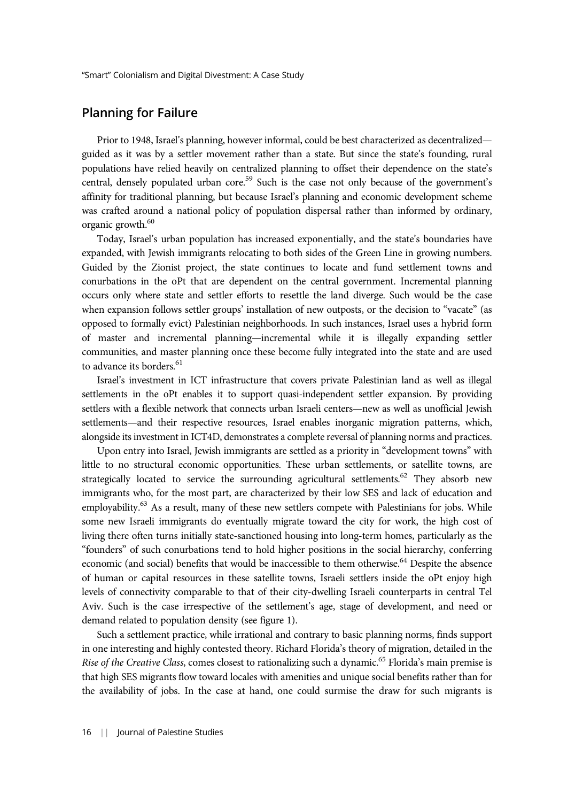# Planning for Failure

Prior to 1948, Israel's planning, however informal, could be best characterized as decentralized guided as it was by a settler movement rather than a state. But since the state's founding, rural populations have relied heavily on centralized planning to offset their dependence on the state's central, densely populated urban core.<sup>59</sup> Such is the case not only because of the government's affinity for traditional planning, but because Israel's planning and economic development scheme was crafted around a national policy of population dispersal rather than informed by ordinary, organic growth.<sup>60</sup>

Today, Israel's urban population has increased exponentially, and the state's boundaries have expanded, with Jewish immigrants relocating to both sides of the Green Line in growing numbers. Guided by the Zionist project, the state continues to locate and fund settlement towns and conurbations in the oPt that are dependent on the central government. Incremental planning occurs only where state and settler efforts to resettle the land diverge. Such would be the case when expansion follows settler groups' installation of new outposts, or the decision to "vacate" (as opposed to formally evict) Palestinian neighborhoods. In such instances, Israel uses a hybrid form of master and incremental planning—incremental while it is illegally expanding settler communities, and master planning once these become fully integrated into the state and are used to advance its borders.<sup>61</sup>

Israel's investment in ICT infrastructure that covers private Palestinian land as well as illegal settlements in the oPt enables it to support quasi-independent settler expansion. By providing settlers with a flexible network that connects urban Israeli centers—new as well as unofficial Jewish settlements—and their respective resources, Israel enables inorganic migration patterns, which, alongside its investment in ICT4D, demonstrates a complete reversal of planning norms and practices.

Upon entry into Israel, Jewish immigrants are settled as a priority in "development towns" with little to no structural economic opportunities. These urban settlements, or satellite towns, are strategically located to service the surrounding agricultural settlements.<sup>62</sup> They absorb new immigrants who, for the most part, are characterized by their low SES and lack of education and employability.<sup>63</sup> As a result, many of these new settlers compete with Palestinians for jobs. While some new Israeli immigrants do eventually migrate toward the city for work, the high cost of living there often turns initially state-sanctioned housing into long-term homes, particularly as the "founders" of such conurbations tend to hold higher positions in the social hierarchy, conferring economic (and social) benefits that would be inaccessible to them otherwise.<sup>64</sup> Despite the absence of human or capital resources in these satellite towns, Israeli settlers inside the oPt enjoy high levels of connectivity comparable to that of their city-dwelling Israeli counterparts in central Tel Aviv. Such is the case irrespective of the settlement's age, stage of development, and need or demand related to population density (see figure 1).

Such a settlement practice, while irrational and contrary to basic planning norms, finds support in one interesting and highly contested theory. Richard Florida's theory of migration, detailed in the Rise of the Creative Class, comes closest to rationalizing such a dynamic.<sup>65</sup> Florida's main premise is that high SES migrants flow toward locales with amenities and unique social benefits rather than for the availability of jobs. In the case at hand, one could surmise the draw for such migrants is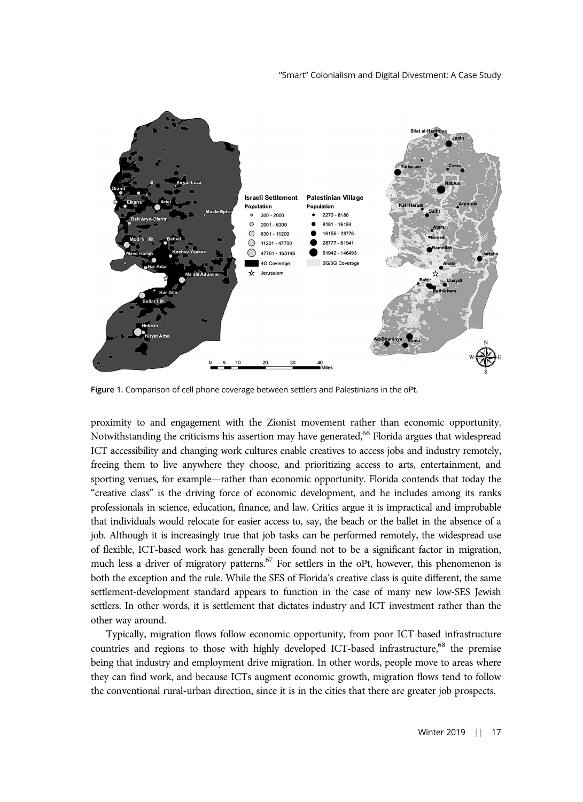

Figure 1. Comparison of cell phone coverage between settlers and Palestinians in the oPt.

proximity to and engagement with the Zionist movement rather than economic opportunity. Notwithstanding the criticisms his assertion may have generated,  $66$  Florida argues that widespread ICT accessibility and changing work cultures enable creatives to access jobs and industry remotely, freeing them to live anywhere they choose, and prioritizing access to arts, entertainment, and sporting venues, for example—rather than economic opportunity. Florida contends that today the "creative class" is the driving force of economic development, and he includes among its ranks professionals in science, education, finance, and law. Critics argue it is impractical and improbable that individuals would relocate for easier access to, say, the beach or the ballet in the absence of a job. Although it is increasingly true that job tasks can be performed remotely, the widespread use of flexible, ICT-based work has generally been found not to be a significant factor in migration, much less a driver of migratory patterns.<sup>67</sup> For settlers in the oPt, however, this phenomenon is both the exception and the rule. While the SES of Florida's creative class is quite different, the same settlement-development standard appears to function in the case of many new low-SES Jewish settlers. In other words, it is settlement that dictates industry and ICT investment rather than the other way around.

Typically, migration flows follow economic opportunity, from poor ICT-based infrastructure countries and regions to those with highly developed ICT-based infrastructure,<sup>68</sup> the premise being that industry and employment drive migration. In other words, people move to areas where they can find work, and because ICTs augment economic growth, migration flows tend to follow the conventional rural-urban direction, since it is in the cities that there are greater job prospects.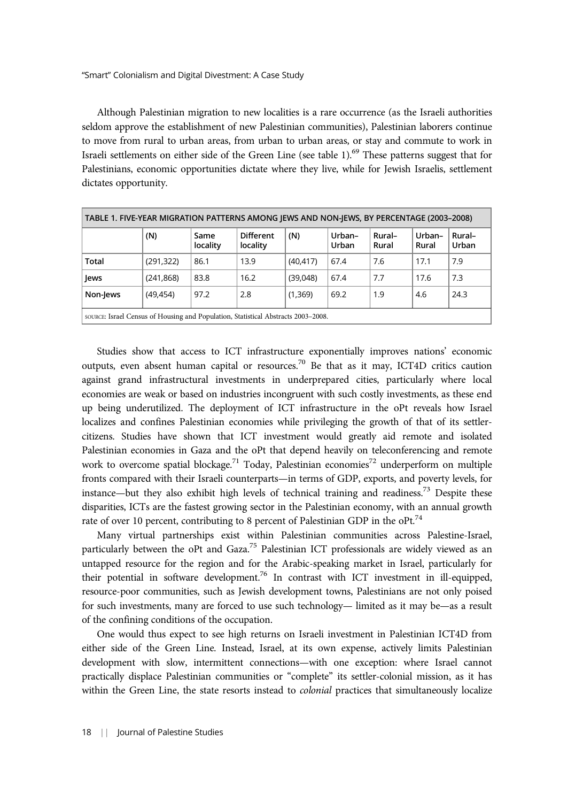Although Palestinian migration to new localities is a rare occurrence (as the Israeli authorities seldom approve the establishment of new Palestinian communities), Palestinian laborers continue to move from rural to urban areas, from urban to urban areas, or stay and commute to work in Israeli settlements on either side of the Green Line (see table 1).<sup>69</sup> These patterns suggest that for Palestinians, economic opportunities dictate where they live, while for Jewish Israelis, settlement dictates opportunity.

| TABLE 1. FIVE-YEAR MIGRATION PATTERNS AMONG JEWS AND NON-JEWS, BY PERCENTAGE (2003-2008) |            |                  |                              |           |                 |                 |                 |                 |
|------------------------------------------------------------------------------------------|------------|------------------|------------------------------|-----------|-----------------|-----------------|-----------------|-----------------|
|                                                                                          | (N)        | Same<br>locality | <b>Different</b><br>locality | (N)       | Urban-<br>Urban | Rural-<br>Rural | Urban-<br>Rural | Rural-<br>Urban |
| Total                                                                                    | (291, 322) | 86.1             | 13.9                         | (40, 417) | 67.4            | 7.6             | 17.1            | 7.9             |
| Jews                                                                                     | (241, 868) | 83.8             | 16.2                         | (39,048)  | 67.4            | 7.7             | 17.6            | 7.3             |
| Non-Jews                                                                                 | (49, 454)  | 97.2             | 2.8                          | (1,369)   | 69.2            | 1.9             | 4.6             | 24.3            |
| source: Israel Census of Housing and Population, Statistical Abstracts 2003–2008.        |            |                  |                              |           |                 |                 |                 |                 |

Studies show that access to ICT infrastructure exponentially improves nations' economic outputs, even absent human capital or resources.<sup>70</sup> Be that as it may, ICT4D critics caution against grand infrastructural investments in underprepared cities, particularly where local economies are weak or based on industries incongruent with such costly investments, as these end up being underutilized. The deployment of ICT infrastructure in the oPt reveals how Israel localizes and confines Palestinian economies while privileging the growth of that of its settlercitizens. Studies have shown that ICT investment would greatly aid remote and isolated Palestinian economies in Gaza and the oPt that depend heavily on teleconferencing and remote work to overcome spatial blockage.<sup>71</sup> Today, Palestinian economies<sup>72</sup> underperform on multiple fronts compared with their Israeli counterparts—in terms of GDP, exports, and poverty levels, for instance—but they also exhibit high levels of technical training and readiness.<sup>73</sup> Despite these disparities, ICTs are the fastest growing sector in the Palestinian economy, with an annual growth rate of over 10 percent, contributing to 8 percent of Palestinian GDP in the oPt.<sup>74</sup>

Many virtual partnerships exist within Palestinian communities across Palestine-Israel, particularly between the oPt and Gaza.<sup>75</sup> Palestinian ICT professionals are widely viewed as an untapped resource for the region and for the Arabic-speaking market in Israel, particularly for their potential in software development.<sup>76</sup> In contrast with ICT investment in ill-equipped, resource-poor communities, such as Jewish development towns, Palestinians are not only poised for such investments, many are forced to use such technology— limited as it may be—as a result of the confining conditions of the occupation.

One would thus expect to see high returns on Israeli investment in Palestinian ICT4D from either side of the Green Line. Instead, Israel, at its own expense, actively limits Palestinian development with slow, intermittent connections—with one exception: where Israel cannot practically displace Palestinian communities or "complete" its settler-colonial mission, as it has within the Green Line, the state resorts instead to *colonial* practices that simultaneously localize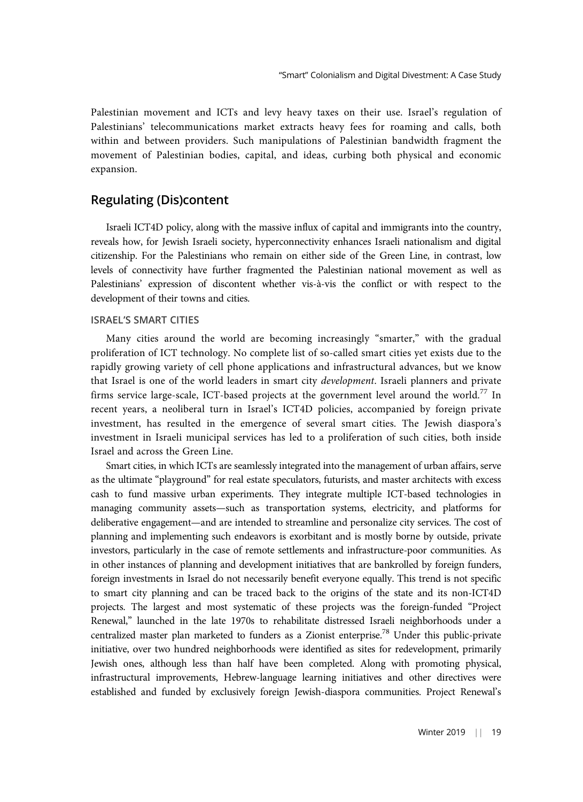Palestinian movement and ICTs and levy heavy taxes on their use. Israel's regulation of Palestinians' telecommunications market extracts heavy fees for roaming and calls, both within and between providers. Such manipulations of Palestinian bandwidth fragment the movement of Palestinian bodies, capital, and ideas, curbing both physical and economic expansion.

# Regulating (Dis)content

Israeli ICT4D policy, along with the massive influx of capital and immigrants into the country, reveals how, for Jewish Israeli society, hyperconnectivity enhances Israeli nationalism and digital citizenship. For the Palestinians who remain on either side of the Green Line, in contrast, low levels of connectivity have further fragmented the Palestinian national movement as well as Palestinians' expression of discontent whether vis-à-vis the conflict or with respect to the development of their towns and cities.

#### ISRAEL'S SMART CITIES

Many cities around the world are becoming increasingly "smarter," with the gradual proliferation of ICT technology. No complete list of so-called smart cities yet exists due to the rapidly growing variety of cell phone applications and infrastructural advances, but we know that Israel is one of the world leaders in smart city *development*. Israeli planners and private firms service large-scale, ICT-based projects at the government level around the world.<sup>77</sup> In recent years, a neoliberal turn in Israel's ICT4D policies, accompanied by foreign private investment, has resulted in the emergence of several smart cities. The Jewish diaspora's investment in Israeli municipal services has led to a proliferation of such cities, both inside Israel and across the Green Line.

Smart cities, in which ICTs are seamlessly integrated into the management of urban affairs, serve as the ultimate "playground" for real estate speculators, futurists, and master architects with excess cash to fund massive urban experiments. They integrate multiple ICT-based technologies in managing community assets—such as transportation systems, electricity, and platforms for deliberative engagement—and are intended to streamline and personalize city services. The cost of planning and implementing such endeavors is exorbitant and is mostly borne by outside, private investors, particularly in the case of remote settlements and infrastructure-poor communities. As in other instances of planning and development initiatives that are bankrolled by foreign funders, foreign investments in Israel do not necessarily benefit everyone equally. This trend is not specific to smart city planning and can be traced back to the origins of the state and its non-ICT4D projects. The largest and most systematic of these projects was the foreign-funded "Project Renewal," launched in the late 1970s to rehabilitate distressed Israeli neighborhoods under a centralized master plan marketed to funders as a Zionist enterprise.<sup>78</sup> Under this public-private initiative, over two hundred neighborhoods were identified as sites for redevelopment, primarily Jewish ones, although less than half have been completed. Along with promoting physical, infrastructural improvements, Hebrew-language learning initiatives and other directives were established and funded by exclusively foreign Jewish-diaspora communities. Project Renewal's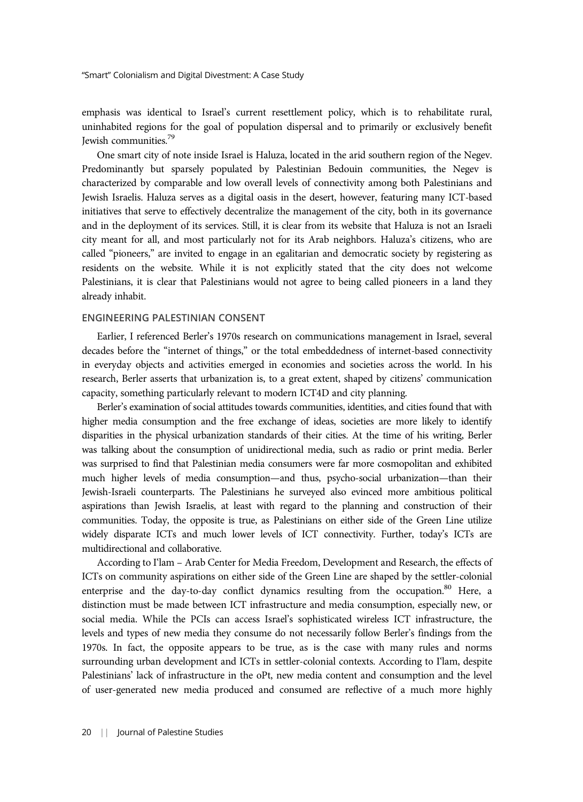emphasis was identical to Israel's current resettlement policy, which is to rehabilitate rural, uninhabited regions for the goal of population dispersal and to primarily or exclusively benefit Jewish communities.79

One smart city of note inside Israel is Haluza, located in the arid southern region of the Negev. Predominantly but sparsely populated by Palestinian Bedouin communities, the Negev is characterized by comparable and low overall levels of connectivity among both Palestinians and Jewish Israelis. Haluza serves as a digital oasis in the desert, however, featuring many ICT-based initiatives that serve to effectively decentralize the management of the city, both in its governance and in the deployment of its services. Still, it is clear from its website that Haluza is not an Israeli city meant for all, and most particularly not for its Arab neighbors. Haluza's citizens, who are called "pioneers," are invited to engage in an egalitarian and democratic society by registering as residents on the website. While it is not explicitly stated that the city does not welcome Palestinians, it is clear that Palestinians would not agree to being called pioneers in a land they already inhabit.

#### ENGINEERING PALESTINIAN CONSENT

Earlier, I referenced Berler's 1970s research on communications management in Israel, several decades before the "internet of things," or the total embeddedness of internet-based connectivity in everyday objects and activities emerged in economies and societies across the world. In his research, Berler asserts that urbanization is, to a great extent, shaped by citizens' communication capacity, something particularly relevant to modern ICT4D and city planning.

Berler's examination of social attitudes towards communities, identities, and cities found that with higher media consumption and the free exchange of ideas, societies are more likely to identify disparities in the physical urbanization standards of their cities. At the time of his writing, Berler was talking about the consumption of unidirectional media, such as radio or print media. Berler was surprised to find that Palestinian media consumers were far more cosmopolitan and exhibited much higher levels of media consumption—and thus, psycho-social urbanization—than their Jewish-Israeli counterparts. The Palestinians he surveyed also evinced more ambitious political aspirations than Jewish Israelis, at least with regard to the planning and construction of their communities. Today, the opposite is true, as Palestinians on either side of the Green Line utilize widely disparate ICTs and much lower levels of ICT connectivity. Further, today's ICTs are multidirectional and collaborative.

According to I'lam – Arab Center for Media Freedom, Development and Research, the effects of ICTs on community aspirations on either side of the Green Line are shaped by the settler-colonial enterprise and the day-to-day conflict dynamics resulting from the occupation.<sup>80</sup> Here, a distinction must be made between ICT infrastructure and media consumption, especially new, or social media. While the PCIs can access Israel's sophisticated wireless ICT infrastructure, the levels and types of new media they consume do not necessarily follow Berler's findings from the 1970s. In fact, the opposite appears to be true, as is the case with many rules and norms surrounding urban development and ICTs in settler-colonial contexts. According to I'lam, despite Palestinians' lack of infrastructure in the oPt, new media content and consumption and the level of user-generated new media produced and consumed are reflective of a much more highly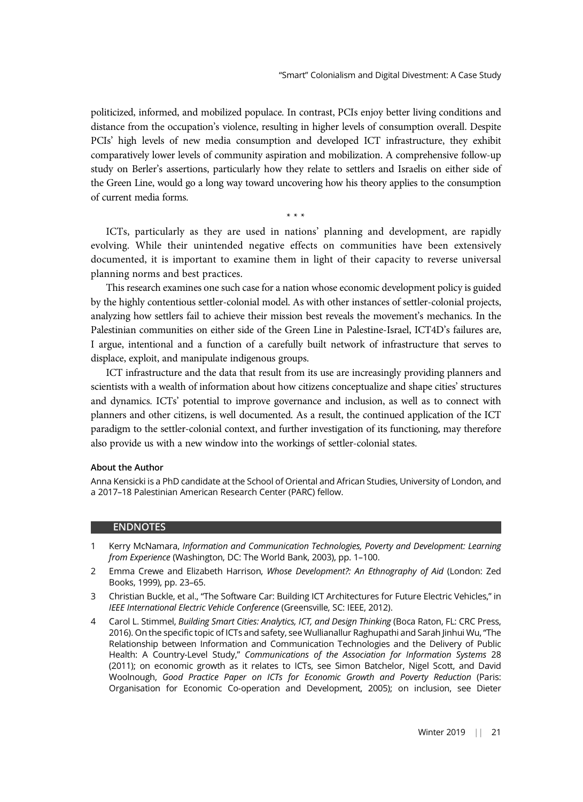politicized, informed, and mobilized populace. In contrast, PCIs enjoy better living conditions and distance from the occupation's violence, resulting in higher levels of consumption overall. Despite PCIs' high levels of new media consumption and developed ICT infrastructure, they exhibit comparatively lower levels of community aspiration and mobilization. A comprehensive follow-up study on Berler's assertions, particularly how they relate to settlers and Israelis on either side of the Green Line, would go a long way toward uncovering how his theory applies to the consumption of current media forms.

\*\*\*

ICTs, particularly as they are used in nations' planning and development, are rapidly evolving. While their unintended negative effects on communities have been extensively documented, it is important to examine them in light of their capacity to reverse universal planning norms and best practices.

This research examines one such case for a nation whose economic development policy is guided by the highly contentious settler-colonial model. As with other instances of settler-colonial projects, analyzing how settlers fail to achieve their mission best reveals the movement's mechanics. In the Palestinian communities on either side of the Green Line in Palestine-Israel, ICT4D's failures are, I argue, intentional and a function of a carefully built network of infrastructure that serves to displace, exploit, and manipulate indigenous groups.

ICT infrastructure and the data that result from its use are increasingly providing planners and scientists with a wealth of information about how citizens conceptualize and shape cities' structures and dynamics. ICTs' potential to improve governance and inclusion, as well as to connect with planners and other citizens, is well documented. As a result, the continued application of the ICT paradigm to the settler-colonial context, and further investigation of its functioning, may therefore also provide us with a new window into the workings of settler-colonial states.

#### About the Author

Anna Kensicki is a PhD candidate at the School of Oriental and African Studies, University of London, and a 2017–18 Palestinian American Research Center (PARC) fellow.

#### ENDNOTES

- 1 Kerry McNamara, Information and Communication Technologies, Poverty and Development: Learning from Experience (Washington, DC: The World Bank, 2003), pp. 1–100.
- 2 Emma Crewe and Elizabeth Harrison, Whose Development?: An Ethnography of Aid (London: Zed Books, 1999), pp. 23–65.
- 3 Christian Buckle, et al., "The Software Car: Building ICT Architectures for Future Electric Vehicles," in IEEE International Electric Vehicle Conference (Greensville, SC: IEEE, 2012).
- 4 Carol L. Stimmel, Building Smart Cities: Analytics, ICT, and Design Thinking (Boca Raton, FL: CRC Press, 2016). On the specific topic of ICTs and safety, see Wullianallur Raghupathi and Sarah Jinhui Wu, "The Relationship between Information and Communication Technologies and the Delivery of Public Health: A Country-Level Study," Communications of the Association for Information Systems 28 (2011); on economic growth as it relates to ICTs, see Simon Batchelor, Nigel Scott, and David Woolnough, Good Practice Paper on ICTs for Economic Growth and Poverty Reduction (Paris: Organisation for Economic Co-operation and Development, 2005); on inclusion, see Dieter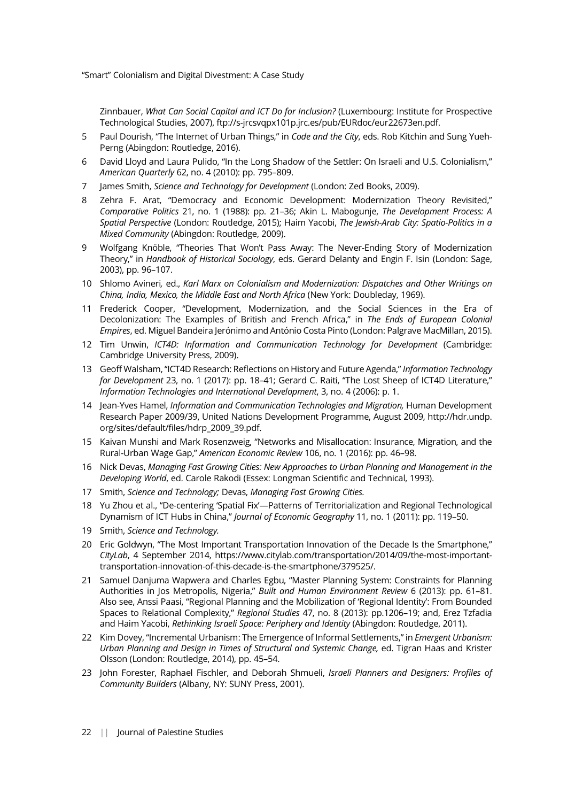Zinnbauer, What Can Social Capital and ICT Do for Inclusion? (Luxembourg: Institute for Prospective Technological Studies, 2007), ftp://s-jrcsvqpx101p.jrc.es/pub/EURdoc/eur22673en.pdf.

- 5 Paul Dourish, "The Internet of Urban Things," in Code and the City, eds. Rob Kitchin and Sung Yueh-Perng (Abingdon: Routledge, 2016).
- 6 David Lloyd and Laura Pulido, "In the Long Shadow of the Settler: On Israeli and U.S. Colonialism," American Quarterly 62, no. 4 (2010): pp. 795–809.
- 7 James Smith, Science and Technology for Development (London: Zed Books, 2009).
- 8 Zehra F. Arat, "Democracy and Economic Development: Modernization Theory Revisited," Comparative Politics 21, no. 1 (1988): pp. 21–36; Akin L. Mabogunje, The Development Process: A Spatial Perspective (London: Routledge, 2015); Haim Yacobi, The Jewish-Arab City: Spatio-Politics in a Mixed Community (Abingdon: Routledge, 2009).
- 9 Wolfgang Knöble, "Theories That Won't Pass Away: The Never-Ending Story of Modernization Theory," in Handbook of Historical Sociology, eds. Gerard Delanty and Engin F. Isin (London: Sage, 2003), pp. 96–107.
- 10 Shlomo Avineri, ed., Karl Marx on Colonialism and Modernization: Dispatches and Other Writings on China, India, Mexico, the Middle East and North Africa (New York: Doubleday, 1969).
- 11 Frederick Cooper, "Development, Modernization, and the Social Sciences in the Era of Decolonization: The Examples of British and French Africa," in The Ends of European Colonial Empires, ed. Miguel Bandeira Jerónimo and António Costa Pinto (London: Palgrave MacMillan, 2015).
- 12 Tim Unwin, ICT4D: Information and Communication Technology for Development (Cambridge: Cambridge University Press, 2009).
- 13 Geoff Walsham, "ICT4D Research: Reflections on History and Future Agenda," Information Technology for Development 23, no. 1 (2017): pp. 18-41; Gerard C. Raiti, "The Lost Sheep of ICT4D Literature," Information Technologies and International Development, 3, no. 4 (2006): p. 1.
- 14 Jean-Yves Hamel, Information and Communication Technologies and Migration, Human Development Research Paper 2009/39, United Nations Development Programme, August 2009, http://hdr.undp. org/sites/default/files/hdrp\_2009\_39.pdf.
- 15 Kaivan Munshi and Mark Rosenzweig, "Networks and Misallocation: Insurance, Migration, and the Rural-Urban Wage Gap," American Economic Review 106, no. 1 (2016): pp. 46–98.
- 16 Nick Devas, Managing Fast Growing Cities: New Approaches to Urban Planning and Management in the Developing World, ed. Carole Rakodi (Essex: Longman Scientific and Technical, 1993).
- 17 Smith, Science and Technology; Devas, Managing Fast Growing Cities.
- 18 Yu Zhou et al., "De-centering 'Spatial Fix'—Patterns of Territorialization and Regional Technological Dynamism of ICT Hubs in China," Journal of Economic Geography 11, no. 1 (2011): pp. 119–50.
- 19 Smith, Science and Technology.
- 20 Eric Goldwyn, "The Most Important Transportation Innovation of the Decade Is the Smartphone," CityLab, 4 September 2014, https://www.citylab.com/transportation/2014/09/the-most-importanttransportation-innovation-of-this-decade-is-the-smartphone/379525/.
- 21 Samuel Danjuma Wapwera and Charles Egbu, "Master Planning System: Constraints for Planning Authorities in Jos Metropolis, Nigeria," Built and Human Environment Review 6 (2013): pp. 61–81. Also see, Anssi Paasi, "Regional Planning and the Mobilization of 'Regional Identity': From Bounded Spaces to Relational Complexity," Regional Studies 47, no. 8 (2013): pp.1206–19; and, Erez Tzfadia and Haim Yacobi, Rethinking Israeli Space: Periphery and Identity (Abingdon: Routledge, 2011).
- 22 Kim Dovey, "Incremental Urbanism: The Emergence of Informal Settlements," in Emergent Urbanism: Urban Planning and Design in Times of Structural and Systemic Change, ed. Tigran Haas and Krister Olsson (London: Routledge, 2014), pp. 45–54.
- 23 John Forester, Raphael Fischler, and Deborah Shmueli, Israeli Planners and Designers: Profiles of Community Builders (Albany, NY: SUNY Press, 2001).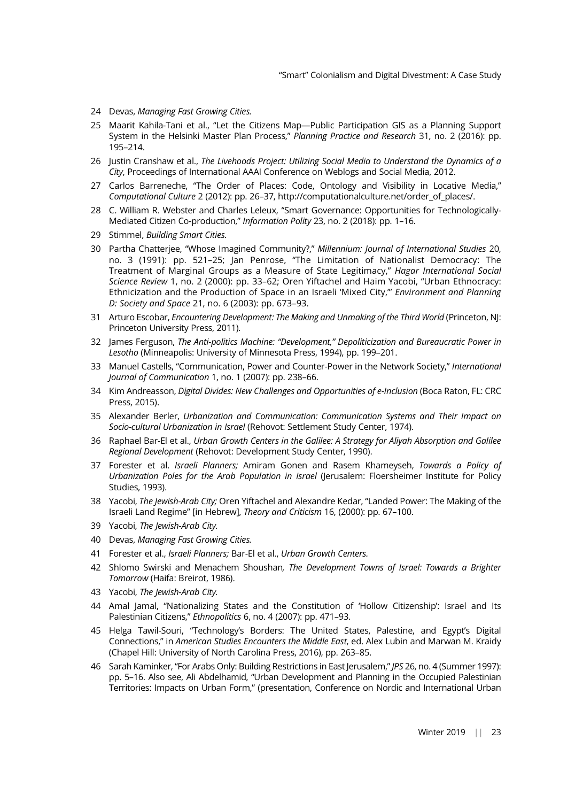- 24 Devas, Managing Fast Growing Cities.
- 25 Maarit Kahila-Tani et al., "Let the Citizens Map—Public Participation GIS as a Planning Support System in the Helsinki Master Plan Process," Planning Practice and Research 31, no. 2 (2016): pp. 195–214.
- 26 Justin Cranshaw et al., The Livehoods Project: Utilizing Social Media to Understand the Dynamics of a City, Proceedings of International AAAI Conference on Weblogs and Social Media, 2012.
- 27 Carlos Barreneche, "The Order of Places: Code, Ontology and Visibility in Locative Media," Computational Culture 2 (2012): pp. 26–37, http://computationalculture.net/order\_of\_places/.
- 28 C. William R. Webster and Charles Leleux, "Smart Governance: Opportunities for Technologically-Mediated Citizen Co-production," Information Polity 23, no. 2 (2018): pp. 1–16.
- 29 Stimmel, Building Smart Cities.
- 30 Partha Chatterjee, "Whose Imagined Community?," Millennium: Journal of International Studies 20, no. 3 (1991): pp. 521–25; Jan Penrose, "The Limitation of Nationalist Democracy: The Treatment of Marginal Groups as a Measure of State Legitimacy," Hagar International Social Science Review 1, no. 2 (2000): pp. 33–62; Oren Yiftachel and Haim Yacobi, "Urban Ethnocracy: Ethnicization and the Production of Space in an Israeli 'Mixed City," Environment and Planning D: Society and Space 21, no. 6 (2003): pp. 673–93.
- 31 Arturo Escobar, Encountering Development: The Making and Unmaking of the Third World (Princeton, NJ: Princeton University Press, 2011).
- 32 James Ferguson, The Anti-politics Machine: "Development," Depoliticization and Bureaucratic Power in Lesotho (Minneapolis: University of Minnesota Press, 1994), pp. 199–201.
- 33 Manuel Castells, "Communication, Power and Counter-Power in the Network Society," International Journal of Communication 1, no. 1 (2007): pp. 238–66.
- 34 Kim Andreasson, Digital Divides: New Challenges and Opportunities of e-Inclusion (Boca Raton, FL: CRC Press, 2015).
- 35 Alexander Berler, Urbanization and Communication: Communication Systems and Their Impact on Socio-cultural Urbanization in Israel (Rehovot: Settlement Study Center, 1974).
- 36 Raphael Bar-El et al., Urban Growth Centers in the Galilee: A Strategy for Aliyah Absorption and Galilee Regional Development (Rehovot: Development Study Center, 1990).
- 37 Forester et al. Israeli Planners; Amiram Gonen and Rasem Khameyseh, Towards a Policy of Urbanization Poles for the Arab Population in Israel (Jerusalem: Floersheimer Institute for Policy Studies, 1993).
- 38 Yacobi, The Jewish-Arab City; Oren Yiftachel and Alexandre Kedar, "Landed Power: The Making of the Israeli Land Regime" [in Hebrew], Theory and Criticism 16, (2000): pp. 67–100.
- 39 Yacobi, The Jewish-Arab City.
- 40 Devas, Managing Fast Growing Cities.
- 41 Forester et al., Israeli Planners; Bar-El et al., Urban Growth Centers.
- 42 Shlomo Swirski and Menachem Shoushan, The Development Towns of Israel: Towards a Brighter Tomorrow (Haifa: Breirot, 1986).
- 43 Yacobi, The Jewish-Arab City.
- 44 Amal Jamal, "Nationalizing States and the Constitution of 'Hollow Citizenship': Israel and Its Palestinian Citizens," Ethnopolitics 6, no. 4 (2007): pp. 471–93.
- 45 Helga Tawil-Souri, "Technology's Borders: The United States, Palestine, and Egypt's Digital Connections," in American Studies Encounters the Middle East, ed. Alex Lubin and Marwan M. Kraidy (Chapel Hill: University of North Carolina Press, 2016), pp. 263–85.
- 46 Sarah Kaminker, "For Arabs Only: Building Restrictions in East Jerusalem," JPS 26, no. 4 (Summer 1997): pp. 5–16. Also see, Ali Abdelhamid, "Urban Development and Planning in the Occupied Palestinian Territories: Impacts on Urban Form," (presentation, Conference on Nordic and International Urban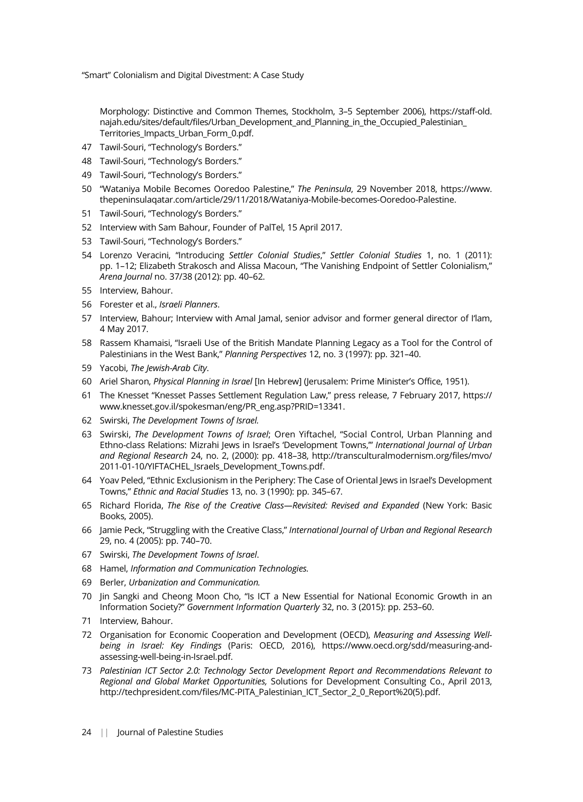Morphology: Distinctive and Common Themes, Stockholm, 3–5 September 2006), https://staff-old. najah.edu/sites/default/files/Urban\_Development\_and\_Planning\_in\_the\_Occupied\_Palestinian\_ Territories\_Impacts\_Urban\_Form\_0.pdf.

- 47 Tawil-Souri, "Technology's Borders."
- 48 Tawil-Souri, "Technology's Borders."
- 49 Tawil-Souri, "Technology's Borders."
- 50 "Wataniya Mobile Becomes Ooredoo Palestine," The Peninsula, 29 November 2018, https://www. thepeninsulaqatar.com/article/29/11/2018/Wataniya-Mobile-becomes-Ooredoo-Palestine.
- 51 Tawil-Souri, "Technology's Borders."
- 52 Interview with Sam Bahour, Founder of PalTel, 15 April 2017.
- 53 Tawil-Souri, "Technology's Borders."
- 54 Lorenzo Veracini, "Introducing Settler Colonial Studies," Settler Colonial Studies 1, no. 1 (2011): pp. 1–12; Elizabeth Strakosch and Alissa Macoun, "The Vanishing Endpoint of Settler Colonialism," Arena Journal no. 37/38 (2012): pp. 40–62.
- 55 Interview, Bahour.
- 56 Forester et al., Israeli Planners.
- 57 Interview, Bahour; Interview with Amal Jamal, senior advisor and former general director of I'lam, 4 May 2017.
- 58 Rassem Khamaisi, "Israeli Use of the British Mandate Planning Legacy as a Tool for the Control of Palestinians in the West Bank," Planning Perspectives 12, no. 3 (1997): pp. 321–40.
- 59 Yacobi, The Jewish-Arab City.
- 60 Ariel Sharon, Physical Planning in Israel [In Hebrew] (Jerusalem: Prime Minister's Office, 1951).
- 61 The Knesset "Knesset Passes Settlement Regulation Law," press release, 7 February 2017, https:// www.knesset.gov.il/spokesman/eng/PR\_eng.asp?PRID=13341.
- 62 Swirski, The Development Towns of Israel.
- 63 Swirski, The Development Towns of Israel; Oren Yiftachel, "Social Control, Urban Planning and Ethno-class Relations: Mizrahi Jews in Israel's 'Development Towns,"' International Journal of Urban and Regional Research 24, no. 2, (2000): pp. 418–38, http://transculturalmodernism.org/files/mvo/ 2011-01-10/YIFTACHEL\_Israels\_Development\_Towns.pdf.
- 64 Yoav Peled, "Ethnic Exclusionism in the Periphery: The Case of Oriental Jews in Israel's Development Towns," Ethnic and Racial Studies 13, no. 3 (1990): pp. 345–67.
- 65 Richard Florida, The Rise of the Creative Class-Revisited: Revised and Expanded (New York: Basic Books, 2005).
- 66 Jamie Peck, "Struggling with the Creative Class," International Journal of Urban and Regional Research 29, no. 4 (2005): pp. 740–70.
- 67 Swirski, The Development Towns of Israel.
- 68 Hamel, Information and Communication Technologies.
- 69 Berler, Urbanization and Communication.
- 70 Jin Sangki and Cheong Moon Cho, "Is ICT a New Essential for National Economic Growth in an Information Society?" Government Information Quarterly 32, no. 3 (2015): pp. 253–60.
- 71 Interview, Bahour.
- 72 Organisation for Economic Cooperation and Development (OECD), Measuring and Assessing Wellbeing in Israel: Key Findings (Paris: OECD, 2016), https://www.oecd.org/sdd/measuring-andassessing-well-being-in-Israel.pdf.
- 73 Palestinian ICT Sector 2.0: Technology Sector Development Report and Recommendations Relevant to Regional and Global Market Opportunities, Solutions for Development Consulting Co., April 2013, http://techpresident.com/files/MC-PITA\_Palestinian\_ICT\_Sector\_2\_0\_Report%20(5).pdf.